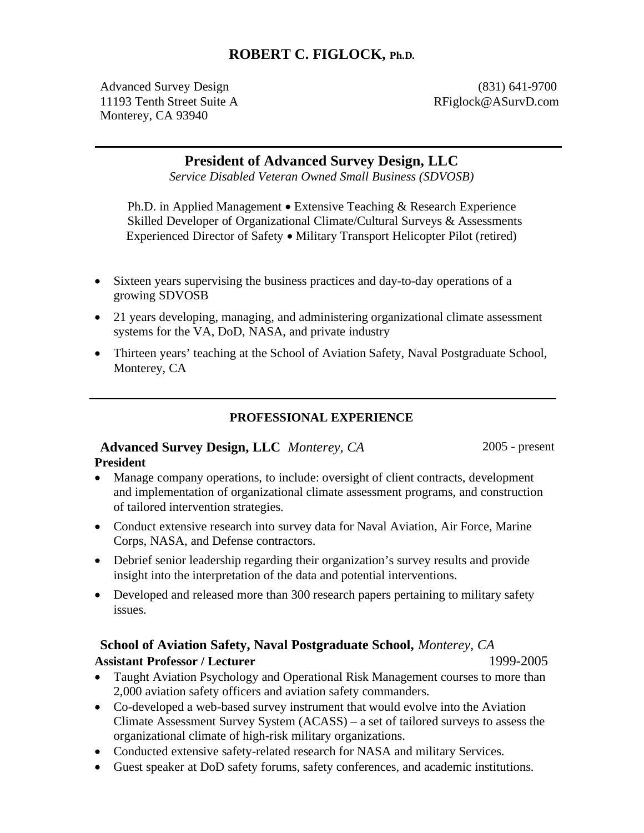# **ROBERT C. FIGLOCK, Ph.D.**

Advanced Survey Design (831) 641-9700 11193 Tenth Street Suite A RFiglock@ASurvD.com Monterey, CA 93940

 $\overline{a}$ 

# **President of Advanced Survey Design, LLC**

*Service Disabled Veteran Owned Small Business (SDVOSB)* 

Ph.D. in Applied Management • Extensive Teaching & Research Experience Skilled Developer of Organizational Climate/Cultural Surveys & Assessments Experienced Director of Safety � Military Transport Helicopter Pilot (retired)

- Sixteen years supervising the business practices and day-to-day operations of a growing SDVOSB
- 21 years developing, managing, and administering organizational climate assessment systems for the VA, DoD, NASA, and private industry
- Thirteen years' teaching at the School of Aviation Safety, Naval Postgraduate School, Monterey, CA

**PROFESSIONAL EXPERIENCE** 

#### **Advanced Survey Design, LLC** *Monterey, CA* 2005 - present **President**

� Manage company operations, to include: oversight of client contracts, development

- and implementation of organizational climate assessment programs, and construction of tailored intervention strategies.
- Conduct extensive research into survey data for Naval Aviation, Air Force, Marine Corps, NASA, and Defense contractors.
- � Debrief senior leadership regarding their organization's survey results and provide insight into the interpretation of the data and potential interventions.
- Developed and released more than 300 research papers pertaining to military safety issues.

# **School of Aviation Safety, Naval Postgraduate School,** *Monterey, CA* **Assistant Professor / Lecturer** 1999-2005

- Taught Aviation Psychology and Operational Risk Management courses to more than 2,000 aviation safety officers and aviation safety commanders.
- Co-developed a web-based survey instrument that would evolve into the Aviation Climate Assessment Survey System (ACASS) – a set of tailored surveys to assess the organizational climate of high-risk military organizations.
- � Conducted extensive safety-related research for NASA and military Services.
- � Guest speaker at DoD safety forums, safety conferences, and academic institutions.